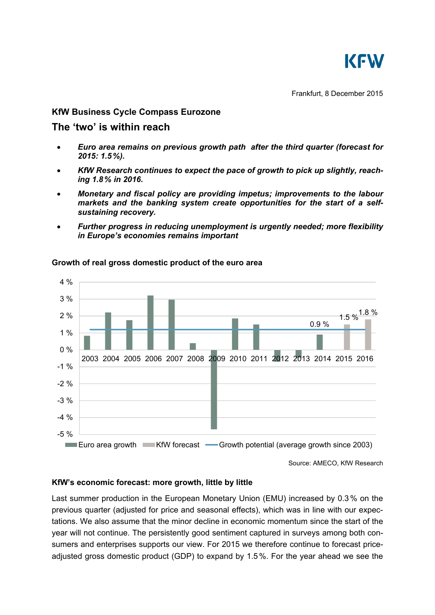

## **KfW Business Cycle Compass Eurozone**

# **The 'two' is within reach**

- *Euro area remains on previous growth path after the third quarter (forecast for 2015: 1.5%).*
- *KfW Research continues to expect the pace of growth to pick up slightly, reaching 1.8% in 2016.*
- *Monetary and fiscal policy are providing impetus; improvements to the labour markets and the banking system create opportunities for the start of a selfsustaining recovery.*
- *Further progress in reducing unemployment is urgently needed; more flexibility in Europe's economies remains important*



## **Growth of real gross domestic product of the euro area**

Source: AMECO, KfW Research

## **KfW's economic forecast: more growth, little by little**

Last summer production in the European Monetary Union (EMU) increased by 0.3 % on the previous quarter (adjusted for price and seasonal effects), which was in line with our expectations. We also assume that the minor decline in economic momentum since the start of the year will not continue. The persistently good sentiment captured in surveys among both consumers and enterprises supports our view. For 2015 we therefore continue to forecast priceadjusted gross domestic product (GDP) to expand by 1.5%. For the year ahead we see the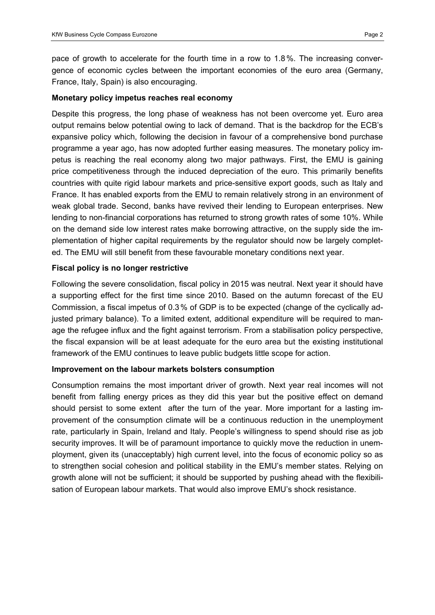pace of growth to accelerate for the fourth time in a row to 1.8%. The increasing convergence of economic cycles between the important economies of the euro area (Germany, France, Italy, Spain) is also encouraging.

#### **Monetary policy impetus reaches real economy**

Despite this progress, the long phase of weakness has not been overcome yet. Euro area output remains below potential owing to lack of demand. That is the backdrop for the ECB's expansive policy which, following the decision in favour of a comprehensive bond purchase programme a year ago, has now adopted further easing measures. The monetary policy impetus is reaching the real economy along two major pathways. First, the EMU is gaining price competitiveness through the induced depreciation of the euro. This primarily benefits countries with quite rigid labour markets and price-sensitive export goods, such as Italy and France. It has enabled exports from the EMU to remain relatively strong in an environment of weak global trade. Second, banks have revived their lending to European enterprises. New lending to non-financial corporations has returned to strong growth rates of some 10%. While on the demand side low interest rates make borrowing attractive, on the supply side the implementation of higher capital requirements by the regulator should now be largely completed. The EMU will still benefit from these favourable monetary conditions next year.

## **Fiscal policy is no longer restrictive**

Following the severe consolidation, fiscal policy in 2015 was neutral. Next year it should have a supporting effect for the first time since 2010. Based on the autumn forecast of the EU Commission, a fiscal impetus of 0.3% of GDP is to be expected (change of the cyclically adjusted primary balance). To a limited extent, additional expenditure will be required to manage the refugee influx and the fight against terrorism. From a stabilisation policy perspective, the fiscal expansion will be at least adequate for the euro area but the existing institutional framework of the EMU continues to leave public budgets little scope for action.

## **Improvement on the labour markets bolsters consumption**

Consumption remains the most important driver of growth. Next year real incomes will not benefit from falling energy prices as they did this year but the positive effect on demand should persist to some extent after the turn of the year. More important for a lasting improvement of the consumption climate will be a continuous reduction in the unemployment rate, particularly in Spain, Ireland and Italy. People's willingness to spend should rise as job security improves. It will be of paramount importance to quickly move the reduction in unemployment, given its (unacceptably) high current level, into the focus of economic policy so as to strengthen social cohesion and political stability in the EMU's member states. Relying on growth alone will not be sufficient; it should be supported by pushing ahead with the flexibilisation of European labour markets. That would also improve EMU's shock resistance.